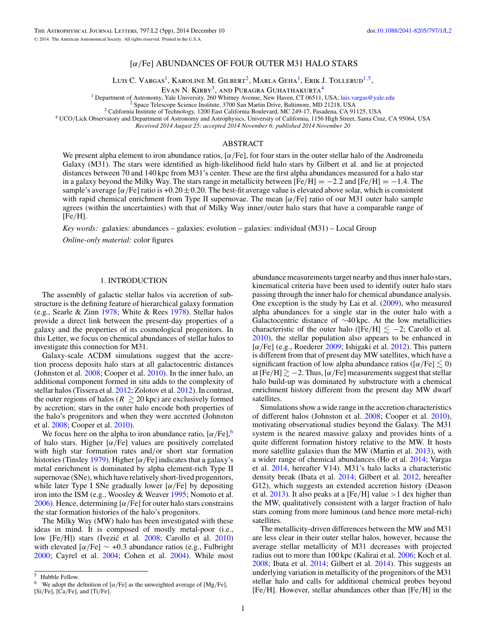# [*α/*Fe] ABUNDANCES OF FOUR OUTER M31 HALO STARS

Luis C. Vargas<sup>1</sup>, Karoline M. Gilbert<sup>2</sup>, Marla Geha<sup>1</sup>, Erik J. Tollerud<sup>1,5</sup>,

EVAN N. KIRBY<sup>3</sup>, AND PURAGRA GUHATHAKURTA<sup>4</sup><br><sup>1</sup> Department of Astronomy, Yale University, 260 Whitney Avenue, New Haven, CT 06511, USA; luis.vargas@yale.edu

<sup>2</sup> Space Telescope Science Institute, 3700 San Martin Drive, Baltimore, MD 21218, USA<br><sup>3</sup> California Institute of Technology, 1200 East California Boulevard, MC 249-17, Pasadena, CA 91125, USA<br><sup>4</sup> UCO/Lick Observatory and

*Received 2014 August 25; accepted 2014 November 6; published 2014 November 20*

# ABSTRACT

We present alpha element to iron abundance ratios, [*α/*Fe], for four stars in the outer stellar halo of the Andromeda Galaxy (M31). The stars were identified as high-likelihood field halo stars by Gilbert et al. and lie at projected distances between 70 and 140 kpc from M31's center. These are the first alpha abundances measured for a halo star in a galaxy beyond the Milky Way. The stars range in metallicity between  $[Fe/H] = -2.2$  and  $[Fe/H] = -1.4$ . The sample's average  $\lceil \alpha/Fe \rceil$  ratio is +0.20  $\pm$  0.20. The best-fit average value is elevated above solar, which is consistent with rapid chemical enrichment from Type II supernovae. The mean [*α/*Fe] ratio of our M31 outer halo sample agrees (within the uncertainties) with that of Milky Way inner*/*outer halo stars that have a comparable range of [Fe*/*H].

*Key words:* galaxies: abundances – galaxies: evolution – galaxies: individual (M31) – Local Group

*Online-only material:* color figures

## 1. INTRODUCTION

The assembly of galactic stellar halos via accretion of substructure is the defining feature of hierarchical galaxy formation (e.g., Searle & Zinn [1978;](#page-4-0) White & Rees [1978\)](#page-4-0). Stellar halos provide a direct link between the present-day properties of a galaxy and the properties of its cosmological progenitors. In this Letter, we focus on chemical abundances of stellar halos to investigate this connection for M31.

Galaxy-scale ΛCDM simulations suggest that the accretion process deposits halo stars at all galactocentric distances (Johnston et al. [2008;](#page-4-0) Cooper et al. [2010\)](#page-4-0). In the inner halo, an additional component formed in situ adds to the complexity of stellar halos (Tissera et al. [2012;](#page-4-0) Zolotov et al. [2012\)](#page-4-0). In contrast, the outer regions of halos ( $R \gtrsim 20$  kpc) are exclusively formed by accretion; stars in the outer halo encode both properties of the halo's progenitors and when they were accreted (Johnston et al. [2008;](#page-4-0) Cooper et al. [2010\)](#page-4-0).

We focus here on the alpha to iron abundance ratio,  $\left[\alpha/\text{Fe}\right]$ ,<sup>6</sup> of halo stars. Higher [*α/*Fe] values are positively correlated with high star formation rates and*/*or short star formation histories (Tinsley [1979\)](#page-4-0). Higher [*α/*Fe] indicates that a galaxy's metal enrichment is dominated by alpha element-rich Type II supernovae (SNe), which have relatively short-lived progenitors, while later Type I SNe gradually lower [*α/*Fe] by depositing iron into the ISM (e.g., Woosley & Weaver [1995;](#page-4-0) Nomoto et al. [2006\)](#page-4-0). Hence, determining [*α/*Fe] for outer halo stars constrains the star formation histories of the halo's progenitors.

The Milky Way (MW) halo has been investigated with these ideas in mind. It is composed of mostly metal-poor (i.e., low [Fe/H]) stars (Ivezić et al. [2008;](#page-4-0) Carollo et al. [2010\)](#page-4-0) with elevated [*α/*Fe] ∼ +0*.*3 abundance ratios (e.g., Fulbright [2000;](#page-4-0) Cayrel et al. [2004;](#page-4-0) Cohen et al. [2004\)](#page-4-0). While most

abundance measurements target nearby and thus inner halo stars, kinematical criteria have been used to identify outer halo stars passing through the inner halo for chemical abundance analysis. One exception is the study by Lai et al. [\(2009\)](#page-4-0), who measured alpha abundances for a single star in the outer halo with a Galactocentric distance of ∼40 kpc. At the low metallicities characteristic of the outer halo ([Fe/H]  $\leq -2$ ; Carollo et al. [2010\)](#page-4-0), the stellar population also appears to be enhanced in [*α/*Fe] (e.g., Roederer [2009;](#page-4-0) Ishigaki et al. [2012\)](#page-4-0). This pattern is different from that of present day MW satellites, which have a significant fraction of low alpha abundance ratios ( $\lceil \alpha / \text{Fe} \rceil \leq 0$ ) at  $[Fe/H] \gtrsim -2$ . Thus,  $[\alpha/Fe]$  measurements suggest that stellar halo build-up was dominated by substructure with a chemical enrichment history different from the present day MW dwarf satellites.

Simulations show a wide range in the accretion characteristics of different halos (Johnston et al. [2008;](#page-4-0) Cooper et al. [2010\)](#page-4-0), motivating observational studies beyond the Galaxy. The M31 system is the nearest massive galaxy and provides hints of a quite different formation history relative to the MW. It hosts more satellite galaxies than the MW (Martin et al. [2013\)](#page-4-0), with a wider range of chemical abundances (Ho et al. [2014;](#page-4-0) Vargas et al. [2014,](#page-4-0) hereafter V14). M31's halo lacks a characteristic density break (Ibata et al. [2014;](#page-4-0) Gilbert et al. [2012,](#page-4-0) hereafter G12), which suggests an extended accretion history (Deason et al. [2013\)](#page-4-0). It also peaks at a [Fe*/*H] value *>*1 dex higher than the MW, qualitatively consistent with a larger fraction of halo stars coming from more luminous (and hence more metal-rich) satellites.

The metallicity-driven differences between the MW and M31 are less clear in their outer stellar halos, however, because the average stellar metallicity of M31 decreases with projected radius out to more than 100 kpc (Kalirai et al. [2006;](#page-4-0) Koch et al. [2008;](#page-4-0) Ibata et al. [2014;](#page-4-0) Gilbert et al. [2014\)](#page-4-0). This suggests an underlying variation in metallicity of the progenitors of the M31 stellar halo and calls for additional chemical probes beyond [Fe*/*H]. However, stellar abundances other than [Fe*/*H] in the

<sup>5</sup> Hubble Fellow.

<sup>6</sup> We adopt the definition of [*α/*Fe] as the unweighted average of [Mg*/*Fe], [Si*/*Fe], [Ca*/*Fe], and [Ti*/*Fe].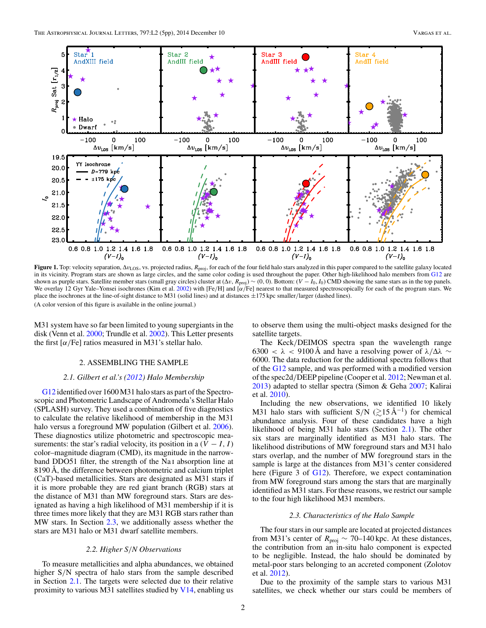<span id="page-1-0"></span>

**Figure 1.** Top: velocity separation, Δ*v*<sub>LOS</sub>, vs. projected radius,  $R_{\text{proj}}$ , for each of the four field halo stars analyzed in this paper compared to the satellite galaxy located in its vicinity. Program stars are shown as large circles, and the same color coding is used throughout the paper. Other high-likelihood halo members from [G12](#page-4-0) are shown as purple stars. Satellite member stars (small gray circles) cluster at  $(\Delta v, R_{\text{proj}}) \sim (0, 0)$ . Bottom:  $(V - I_0, I_0)$  CMD showing the same stars as in the top panels. We overlay 12 Gyr Yale–Yonsei isochrones (Kim et al. [2002\)](#page-4-0) with [Fe*/*H] and [*α/*Fe] nearest to that measured spectroscopically for each of the program stars. We place the isochrones at the line-of-sight distance to M31 (solid lines) and at distances ±175 kpc smaller*/*larger (dashed lines). (A color version of this figure is available in the online journal.)

M31 system have so far been limited to young supergiants in the disk (Venn et al. [2000;](#page-4-0) Trundle et al. [2002\)](#page-4-0). This Letter presents the first  $\lceil \alpha / \text{Fe} \rceil$  ratios measured in M31's stellar halo.

### 2. ASSEMBLING THE SAMPLE

#### *2.1. Gilbert et al.'s [\(2012\)](#page-4-0) Halo Membership*

[G12](#page-4-0) identified over 1600 M31 halo stars as part of the Spectroscopic and Photometric Landscape of Andromeda's Stellar Halo (SPLASH) survey. They used a combination of five diagnostics to calculate the relative likelihood of membership in the M31 halo versus a foreground MW population (Gilbert et al. [2006\)](#page-4-0). These diagnostics utilize photometric and spectroscopic measurements: the star's radial velocity, its position in a  $(V - I, I)$ color–magnitude diagram (CMD), its magnitude in the narrowband DDO51 filter, the strength of the Na<sub>I</sub> absorption line at 8190 Å, the difference between photometric and calcium triplet (CaT)-based metallicities. Stars are designated as M31 stars if it is more probable they are red giant branch (RGB) stars at the distance of M31 than MW foreground stars. Stars are designated as having a high likelihood of M31 membership if it is three times more likely that they are M31 RGB stars rather than MW stars. In Section 2.3, we additionally assess whether the stars are M31 halo or M31 dwarf satellite members.

## *2.2. Higher S/N Observations*

To measure metallicities and alpha abundances, we obtained higher S*/*N spectra of halo stars from the sample described in Section 2.1. The targets were selected due to their relative proximity to various M31 satellites studied by [V14,](#page-4-0) enabling us to observe them using the multi-object masks designed for the satellite targets.

The Keck*/*DEIMOS spectra span the wavelength range 6300 <  $\lambda$  < 9100 Å and have a resolving power of  $\lambda/\Delta\lambda \sim$ 6000. The data reduction for the additional spectra follows that of the [G12](#page-4-0) sample, and was performed with a modified version of the spec2d*/*DEEP pipeline (Cooper et al. [2012;](#page-4-0) Newman et al. [2013\)](#page-4-0) adapted to stellar spectra (Simon & Geha [2007;](#page-4-0) Kalirai et al. [2010\)](#page-4-0).

Including the new observations, we identified 10 likely M31 halo stars with sufficient S/N ( $\gtrsim$ 15 Å<sup>-1</sup>) for chemical abundance analysis. Four of these candidates have a high likelihood of being M31 halo stars (Section 2.1). The other six stars are marginally identified as M31 halo stars. The likelihood distributions of MW foreground stars and M31 halo stars overlap, and the number of MW foreground stars in the sample is large at the distances from M31's center considered here (Figure 3 of [G12\)](#page-4-0). Therefore, we expect contamination from MW foreground stars among the stars that are marginally identified as M31 stars. For these reasons, we restrict our sample to the four high likelihood M31 members.

## *2.3. Characteristics of the Halo Sample*

The four stars in our sample are located at projected distances from M31's center of  $R_{\text{proj}} \sim 70-140 \,\text{kpc}$ . At these distances, the contribution from an in-situ halo component is expected to be negligible. Instead, the halo should be dominated by metal-poor stars belonging to an accreted component (Zolotov et al. [2012\)](#page-4-0).

Due to the proximity of the sample stars to various M31 satellites, we check whether our stars could be members of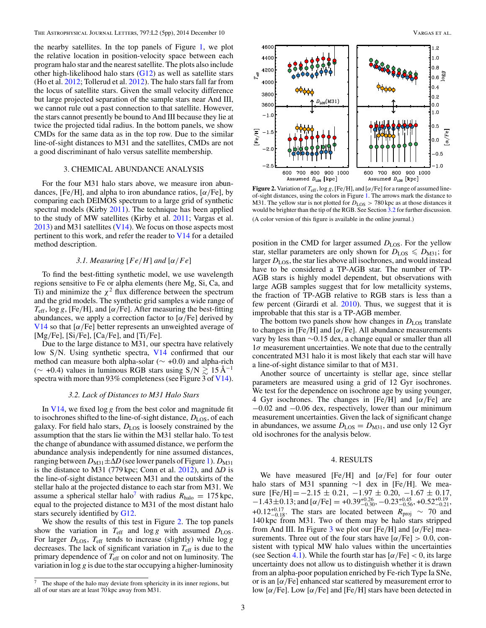<span id="page-2-0"></span>the nearby satellites. In the top panels of Figure [1,](#page-1-0) we plot the relative location in position-velocity space between each program halo star and the nearest satellite. The plots also include other high-likelihood halo stars [\(G12\)](#page-4-0) as well as satellite stars (Ho et al. [2012;](#page-4-0) Tollerud et al. [2012\)](#page-4-0). The halo stars fall far from the locus of satellite stars. Given the small velocity difference but large projected separation of the sample stars near And III, we cannot rule out a past connection to that satellite. However, the stars cannot presently be bound to And III because they lie at twice the projected tidal radius. In the bottom panels, we show CMDs for the same data as in the top row. Due to the similar line-of-sight distances to M31 and the satellites, CMDs are not a good discriminant of halo versus satellite membership.

## 3. CHEMICAL ABUNDANCE ANALYSIS

For the four M31 halo stars above, we measure iron abundances, [Fe*/*H], and alpha to iron abundance ratios, [*α/*Fe], by comparing each DEIMOS spectrum to a large grid of synthetic spectral models (Kirby [2011\)](#page-4-0). The technique has been applied to the study of MW satellites (Kirby et al. [2011;](#page-4-0) Vargas et al.  $2013$ ) and M31 satellites [\(V14\)](#page-4-0). We focus on those aspects most pertinent to this work, and refer the reader to  $V14$  for a detailed method description.

# *3.1. Measuring* [*F e/H*] *and* [*α/F e*]

To find the best-fitting synthetic model, we use wavelength regions sensitive to Fe or alpha elements (here Mg, Si, Ca, and Ti) and minimize the  $\chi^2$  flux difference between the spectrum and the grid models. The synthetic grid samples a wide range of  $T_{\text{eff}}$ , log *g*, [Fe/H], and [ $\alpha$ /Fe]. After measuring the best-fitting abundances, we apply a correction factor to [*α/*Fe] derived by [V14](#page-4-0) so that  $\left[\alpha/\text{Fe}\right]$  better represents an unweighted average of [Mg*/*Fe], [Si*/*Fe], [Ca*/*Fe], and [Ti*/*Fe].

Due to the large distance to M31, our spectra have relatively low S*/*N. Using synthetic spectra, [V14](#page-4-0) confirmed that our method can measure both alpha-solar (∼ +0*.*0) and alpha-rich  $($  ~ +0.4) values in luminous RGB stars using  $S/N \gtrsim 15 \text{ Å}^{-1}$ spectra with more than 93% completeness (see Figure 3 of [V14\)](#page-4-0).

### *3.2. Lack of Distances to M31 Halo Stars*

In [V14,](#page-4-0) we fixed log *g* from the best color and magnitude fit to isochrones shifted to the line-of-sight distance,  $D_{LOS}$ , of each galaxy. For field halo stars,  $D_{LOS}$  is loosely constrained by the assumption that the stars lie within the M31 stellar halo. To test the change of abundance with assumed distance, we perform the abundance analysis independently for nine assumed distances, ranging between  $D_{M31} \pm \Delta D$  (see lower panels of Figure [1\)](#page-1-0).  $D_{M31}$ is the distance to M31 (779 kpc; Conn et al.  $2012$ ), and  $\Delta D$  is the line-of-sight distance between M31 and the outskirts of the stellar halo at the projected distance to each star from M31. We assume a spherical stellar halo<sup>7</sup> with radius  $R_{halo} = 175$  kpc, equal to the projected distance to M31 of the most distant halo stars securely identified by [G12.](#page-4-0)

We show the results of this test in Figure 2. The top panels show the variation in  $T_{\text{eff}}$  and  $\log g$  with assumed  $D_{\text{LOS}}$ . For larger  $D_{LOS}$ ,  $T_{\text{eff}}$  tends to increase (slightly) while log *g* decreases. The lack of significant variation in  $T_{\text{eff}}$  is due to the primary dependence of *T*eff on color and not on luminosity. The variation in log *g* is due to the star occupying a higher-luminosity

3



**Figure 2.** Variation of *T*eff, log *g*, [Fe*/*H], and [*α/*Fe] for a range of assumed lineof-sight distances, using the colors in Figure [1.](#page-1-0) The arrows mark the distance to M31. The yellow star is not plotted for  $D_{LOS} > 780$  kpc as at those distances it would be brighter than the tip of the RGB. See Section 3.2 for further discussion. (A color version of this figure is available in the online journal.)

position in the CMD for larger assumed  $D_{LOS}$ . For the yellow star, stellar parameters are only shown for  $D_{LOS} \leq D_{M31}$ ; for larger  $D<sub>LOS</sub>$ , the star lies above all isochrones, and would instead have to be considered a TP-AGB star. The number of TP-AGB stars is highly model dependent, but observations with large AGB samples suggest that for low metallicity systems, the fraction of TP-AGB relative to RGB stars is less than a few percent (Girardi et al. [2010\)](#page-4-0). Thus, we suggest that it is improbable that this star is a TP-AGB member.

The bottom two panels show how changes in  $D_{\text{LOS}}$  translate to changes in [Fe*/*H] and [*α/*Fe]. All abundance measurements vary by less than ∼0*.*15 dex, a change equal or smaller than all  $1\sigma$  measurement uncertainties. We note that due to the centrally concentrated M31 halo it is most likely that each star will have a line-of-sight distance similar to that of M31.

Another source of uncertainty is stellar age, since stellar parameters are measured using a grid of 12 Gyr isochrones. We test for the dependence on isochrone age by using younger, 4 Gyr isochrones. The changes in [Fe*/*H] and [*α/*Fe] are −0*.*02 and −0*.*06 dex, respectively, lower than our minimum measurement uncertainties. Given the lack of significant change in abundances, we assume  $D_{\text{LOS}} = D_{\text{M31}}$ , and use only 12 Gyr old isochrones for the analysis below.

### 4. RESULTS

We have measured [Fe*/*H] and [*α/*Fe] for four outer halo stars of M31 spanning ∼1 dex in [Fe*/*H]. We measure [Fe*/*H] =−2*.*15 ± 0*.*21, −1*.*97 ± 0*.*20, −1*.*67 ± 0*.*17,  $-1.43\pm0.13$ ; and  $[\alpha/Fe] = +0.39^{+0.26}_{-0.30}$ ,  $-0.23^{+0.45}_{-0.56}$ ,  $+0.52^{+0.19}_{-0.21}$ , +0.12<sup>+0.17</sup><sub>−0.18</sub>. The stars are located between  $R_{\text{proj}} \sim 70$  and 140 kpc from M31. Two of them may be halo stars stripped from And III. In Figure [3](#page-3-0) we plot our [Fe*/*H] and [*α/*Fe] measurements. Three out of the four stars have [*α/*Fe] *>* 0*.*0, consistent with typical MW halo values within the uncertainties (see Section [4.1\)](#page-3-0). While the fourth star has [*α/*Fe] *<* 0, its large uncertainty does not allow us to distinguish whether it is drawn from an alpha-poor population enriched by Fe-rich Type Ia SNe, or is an [*α/*Fe] enhanced star scattered by measurement error to low [*α/*Fe]. Low [*α/*Fe] and [Fe*/*H] stars have been detected in

The shape of the halo may deviate from sphericity in its inner regions, but all of our stars are at least 70 kpc away from M31.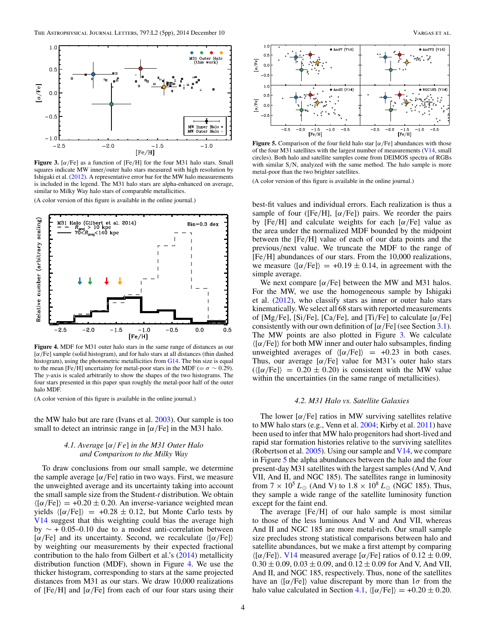<span id="page-3-0"></span>

**Figure 3.** [ $\alpha$ /Fe] as a function of [Fe/H] for the four M31 halo stars. Small squares indicate MW inner*/*outer halo stars measured with high resolution by Ishigaki et al. [\(2012\)](#page-4-0). A representative error bar for the MW halo measurements is included in the legend. The M31 halo stars are alpha-enhanced on average, similar to Milky Way halo stars of comparable metallicities.

(A color version of this figure is available in the online journal.)



**Figure 4.** MDF for M31 outer halo stars in the same range of distances as our [*α/*Fe] sample (solid histogram), and for halo stars at all distances (thin dashed histogram), using the photometric metallicities from [G14.](#page-4-0) The bin size is equal to the mean [Fe/H] uncertainty for metal-poor stars in the MDF ( $=\sigma \sim 0.29$ ). The *y*-axis is scaled arbitrarily to show the shapes of the two histograms. The four stars presented in this paper span roughly the metal-poor half of the outer halo MDF.

(A color version of this figure is available in the online journal.)

the MW halo but are rare (Ivans et al. [2003\)](#page-4-0). Our sample is too small to detect an intrinsic range in [*α/*Fe] in the M31 halo.

# *4.1. Average* [*α/F e*] *in the M31 Outer Halo and Comparison to the Milky Way*

To draw conclusions from our small sample, we determine the sample average  $\lceil \alpha / \text{Fe} \rceil$  ratio in two ways. First, we measure the unweighted average and its uncertainty taking into account the small sample size from the Student-*t* distribution. We obtain  $\langle \sigma/\text{Fe} \rangle$  = +0.20 ± 0.20. An inverse-variance weighted mean yields  $\langle \sigma/\text{Fe} \rangle = +0.28 \pm 0.12$ , but Monte Carlo tests by [V14](#page-4-0) suggest that this weighting could bias the average high by ∼ + 0*.*05–0*.*10 due to a modest anti-correlation between [ $\alpha$ /Fe] and its uncertainty. Second, we recalculate  $\langle [\alpha/\text{Fe}] \rangle$ by weighting our measurements by their expected fractional contribution to the halo from Gilbert et al.'s [\(2014\)](#page-4-0) metallicity distribution function (MDF), shown in Figure 4. We use the thicker histogram, corresponding to stars at the same projected distances from M31 as our stars. We draw 10,000 realizations of [Fe*/*H] and [*α/*Fe] from each of our four stars using their



**Figure 5.** Comparison of the four field halo star [*α/*Fe] abundances with those of the four M31 satellites with the largest number of measurements [\(V14,](#page-4-0) small circles). Both halo and satellite samples come from DEIMOS spectra of RGBs with similar S*/*N, analyzed with the same method. The halo sample is more metal-poor than the two brighter satellites.

(A color version of this figure is available in the online journal.)

best-fit values and individual errors. Each realization is thus a sample of four ([Fe*/*H], [*α/*Fe]) pairs. We reorder the pairs by [Fe*/*H] and calculate weights for each [*α/*Fe] value as the area under the normalized MDF bounded by the midpoint between the [Fe*/*H] value of each of our data points and the previous*/*next value. We truncate the MDF to the range of [Fe*/*H] abundances of our stars. From the 10,000 realizations, we measure  $\langle [\alpha/Fe] \rangle = +0.19 \pm 0.14$ , in agreement with the simple average.

We next compare  $[\alpha/\text{Fe}]$  between the MW and M31 halos. For the MW, we use the homogeneous sample by Ishigaki et al. [\(2012\)](#page-4-0), who classify stars as inner or outer halo stars kinematically. We select all 68 stars with reported measurements of [Mg*/*Fe], [Si*/*Fe], [Ca*/*Fe], and [Ti*/*Fe] to calculate [*α/*Fe] consistently with our own definition of [*α/*Fe] (see Section [3.1\)](#page-2-0). The MW points are also plotted in Figure 3. We calculate [*α/*Fe] for both MW inner and outer halo subsamples, finding unweighted averages of  $\langle \frac{\alpha}{Fe} \rangle = +0.23$  in both cases. Thus, our average [*α/*Fe] value for M31's outer halo stars  $({\langle \alpha/Fe \rangle}) = 0.20 \pm 0.20$  is consistent with the MW value within the uncertainties (in the same range of metallicities).

### *4.2. M31 Halo vs. Satellite Galaxies*

The lower [*α/*Fe] ratios in MW surviving satellites relative to MW halo stars (e.g., Venn et al. [2004;](#page-4-0) Kirby et al. [2011\)](#page-4-0) have been used to infer that MW halo progenitors had short-lived and rapid star formation histories relative to the surviving satellites (Robertson et al. [2005\)](#page-4-0). Using our sample and  $V14$ , we compare in Figure 5 the alpha abundances between the halo and the four present-day M31 satellites with the largest samples (And V, And VII, And II, and NGC 185). The satellites range in luminosity from  $7 \times 10^5 L_{\odot}$  (And V) to  $1.8 \times 10^8 L_{\odot}$  (NGC 185). Thus, they sample a wide range of the satellite luminosity function except for the faint end.

The average [Fe*/*H] of our halo sample is most similar to those of the less luminous And V and And VII, whereas And II and NGC 185 are more metal-rich. Our small sample size precludes strong statistical comparisons between halo and satellite abundances, but we make a first attempt by comparing  $\langle \alpha/\text{Fe} \rangle$ . [V14](#page-4-0) measured average  $\alpha/\text{Fe}$  ratios of 0.12  $\pm$  0.09,  $0.30 \pm 0.09$ ,  $0.03 \pm 0.09$ , and  $0.12 \pm 0.09$  for And V, And VII, And II, and NGC 185, respectively. Thus, none of the satellites have an  $\langle \alpha / \text{Fe} \rangle$  value discrepant by more than  $1\sigma$  from the halo value calculated in Section 4.1,  $\langle \frac{\alpha}{Fe} \rangle = +0.20 \pm 0.20$ .